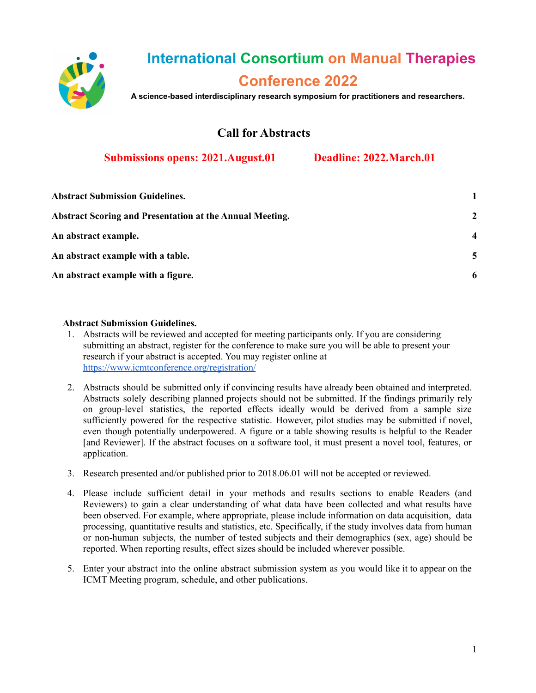

# **International Consortium on Manual Therapies Conference 2022**

**A science-based interdisciplinary research symposium for practitioners and researchers.**

### **Call for Abstracts**

**Submissions opens: 2021.August.01 Deadline: 2022.March.01**

| <b>Abstract Submission Guidelines.</b>                          |                         |  |  |
|-----------------------------------------------------------------|-------------------------|--|--|
| <b>Abstract Scoring and Presentation at the Annual Meeting.</b> | $\mathbf{2}$            |  |  |
| An abstract example.                                            | $\overline{\mathbf{4}}$ |  |  |
| An abstract example with a table.                               | 5                       |  |  |
| An abstract example with a figure.                              | 6                       |  |  |

#### <span id="page-0-0"></span>**Abstract Submission Guidelines.**

- 1. Abstracts will be reviewed and accepted for meeting participants only. If you are considering submitting an abstract, register for the conference to make sure you will be able to present your research if your abstract is accepted. You may register online at <https://www.icmtconference.org/registration/>
- 2. Abstracts should be submitted only if convincing results have already been obtained and interpreted. Abstracts solely describing planned projects should not be submitted. If the findings primarily rely on group-level statistics, the reported effects ideally would be derived from a sample size sufficiently powered for the respective statistic. However, pilot studies may be submitted if novel, even though potentially underpowered. A figure or a table showing results is helpful to the Reader [and Reviewer]. If the abstract focuses on a software tool, it must present a novel tool, features, or application.
- 3. Research presented and/or published prior to 2018.06.01 will not be accepted or reviewed.
- 4. Please include sufficient detail in your methods and results sections to enable Readers (and Reviewers) to gain a clear understanding of what data have been collected and what results have been observed. For example, where appropriate, please include information on data acquisition, data processing, quantitative results and statistics, etc. Specifically, if the study involves data from human or non-human subjects, the number of tested subjects and their demographics (sex, age) should be reported. When reporting results, effect sizes should be included wherever possible.
- 5. Enter your abstract into the online abstract submission system as you would like it to appear on the ICMT Meeting program, schedule, and other publications.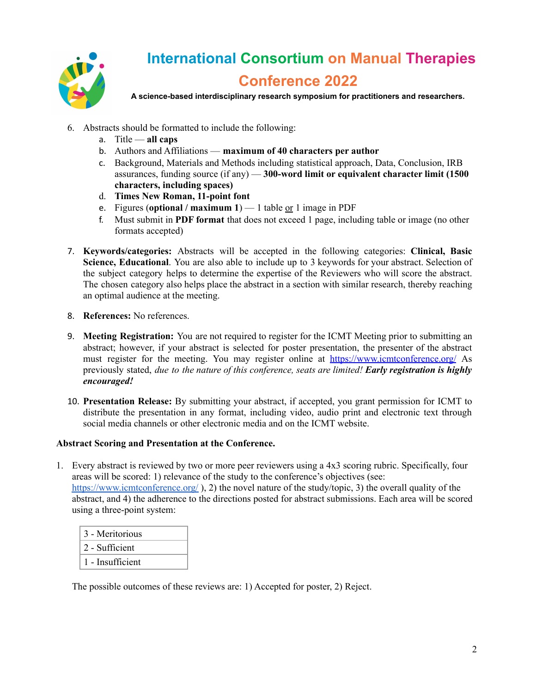

## **International Consortium on Manual Therapies Conference 2022**

**A science-based interdisciplinary research symposium for practitioners and researchers.**

- 6. Abstracts should be formatted to include the following:
	- a. Title **all caps**
	- b. Authors and Affiliations **maximum of 40 characters per author**
	- c. Background, Materials and Methods including statistical approach, Data, Conclusion, IRB assurances, funding source (if any) — **300-word limit or equivalent character limit (1500 characters, including spaces)**
	- d. **Times New Roman, 11-point font**
	- e. Figures (**optional / maximum 1**) 1 table or 1 image in PDF
	- f. Must submit in **PDF format** that does not exceed 1 page, including table or image (no other formats accepted)
- 7. **Keywords/categories:** Abstracts will be accepted in the following categories: **Clinical, Basic Science, Educational**. You are also able to include up to 3 keywords for your abstract. Selection of the subject category helps to determine the expertise of the Reviewers who will score the abstract. The chosen category also helps place the abstract in a section with similar research, thereby reaching an optimal audience at the meeting.
- 8. **References:** No references.
- 9. **Meeting Registration:** You are not required to register for the ICMT Meeting prior to submitting an abstract; however, if your abstract is selected for poster presentation, the presenter of the abstract must register for the meeting. You may register online at <https://www.icmtconference.org/> As previously stated, *due to the nature of this conference, seats are limited! Early registration is highly encouraged!*
- 10. **Presentation Release:** By submitting your abstract, if accepted, you grant permission for ICMT to distribute the presentation in any format, including video, audio print and electronic text through social media channels or other electronic media and on the ICMT website.

#### <span id="page-1-0"></span>**Abstract Scoring and Presentation at the Conference.**

1. Every abstract is reviewed by two or more peer reviewers using a 4x3 scoring rubric. Specifically, four areas will be scored: 1) relevance of the study to the conference's objectives (see: <https://www.icmtconference.org/>), 2) the novel nature of the study/topic, 3) the overall quality of the abstract, and 4) the adherence to the directions posted for abstract submissions. Each area will be scored using a three-point system:

| 3 - Meritorious  |
|------------------|
| 2 - Sufficient   |
| 1 - Insufficient |
|                  |

The possible outcomes of these reviews are: 1) Accepted for poster, 2) Reject.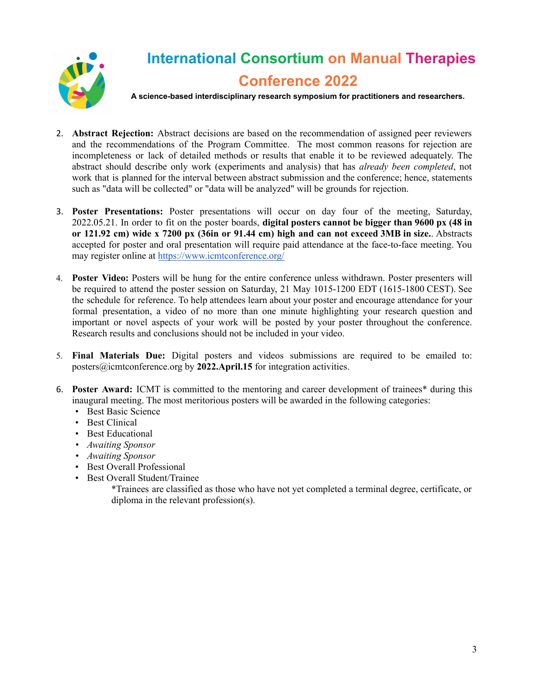

# **International Consortium on Manual Therapies Conference 2022**

**A science-based interdisciplinary research symposium for practitioners and researchers.**

- 2. **Abstract Rejection:** Abstract decisions are based on the recommendation of assigned peer reviewers and the recommendations of the Program Committee. The most common reasons for rejection are incompleteness or lack of detailed methods or results that enable it to be reviewed adequately. The abstract should describe only work (experiments and analysis) that has *already been completed*, not work that is planned for the interval between abstract submission and the conference; hence, statements such as "data will be collected" or "data will be analyzed" will be grounds for rejection.
- 3. **Poster Presentations:** Poster presentations will occur on day four of the meeting, Saturday, 2022.05.21. In order to fit on the poster boards, **digital posters cannot be bigger than 9600 px (48 in** or 121.92 cm) wide x 7200 px (36in or 91.44 cm) high and can not exceed 3MB in size. Abstracts accepted for poster and oral presentation will require paid attendance at the face-to-face meeting. You may register online at <https://www.icmtconference.org/>
- 4. **Poster Video:** Posters will be hung for the entire conference unless withdrawn. Poster presenters will be required to attend the poster session on Saturday, 21 May 1015-1200 EDT (1615-1800 CEST). See the schedule for reference. To help attendees learn about your poster and encourage attendance for your formal presentation, a video of no more than one minute highlighting your research question and important or novel aspects of your work will be posted by your poster throughout the conference. Research results and conclusions should not be included in your video.
- 5. **Final Materials Due:** Digital posters and videos submissions are required to be emailed to: posters@icmtconference.org by **2022.April.15** for integration activities.
- 6. **Poster Award:** ICMT is committed to the mentoring and career development of trainees\* during this inaugural meeting. The most meritorious posters will be awarded in the following categories:
	- Best Basic Science
	- Best Clinical
	- Best Educational
	- *• Awaiting Sponsor*
	- *• Awaiting Sponsor*
	- Best Overall Professional
	- Best Overall Student/Trainee
		- \*Trainees are classified as those who have not yet completed a terminal degree, certificate, or diploma in the relevant profession(s).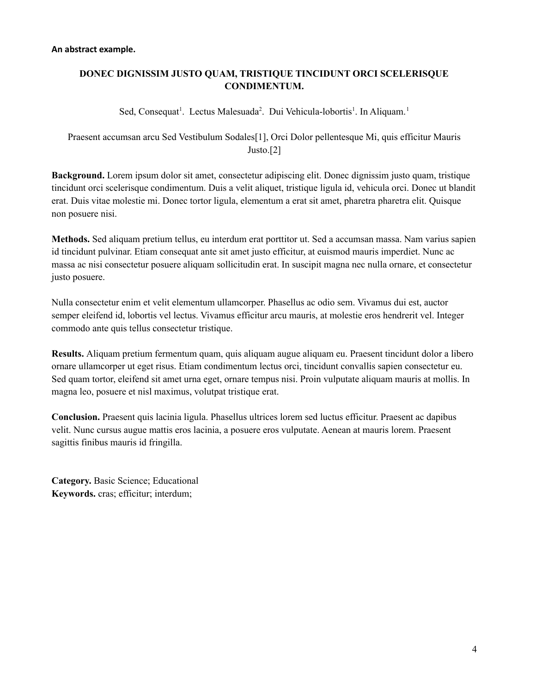### <span id="page-3-0"></span>**DONEC DIGNISSIM JUSTO QUAM, TRISTIQUE TINCIDUNT ORCI SCELERISQUE CONDIMENTUM.**

Sed, Consequat<sup>1</sup>. Lectus Malesuada<sup>2</sup>. Dui Vehicula-lobortis<sup>1</sup>. In Aliquam.<sup>1</sup>

Praesent accumsan arcu Sed Vestibulum Sodales[1], Orci Dolor pellentesque Mi, quis efficitur Mauris Justo.[2]

**Background.** Lorem ipsum dolor sit amet, consectetur adipiscing elit. Donec dignissim justo quam, tristique tincidunt orci scelerisque condimentum. Duis a velit aliquet, tristique ligula id, vehicula orci. Donec ut blandit erat. Duis vitae molestie mi. Donec tortor ligula, elementum a erat sit amet, pharetra pharetra elit. Quisque non posuere nisi.

**Methods.** Sed aliquam pretium tellus, eu interdum erat porttitor ut. Sed a accumsan massa. Nam varius sapien id tincidunt pulvinar. Etiam consequat ante sit amet justo efficitur, at euismod mauris imperdiet. Nunc ac massa ac nisi consectetur posuere aliquam sollicitudin erat. In suscipit magna nec nulla ornare, et consectetur justo posuere.

Nulla consectetur enim et velit elementum ullamcorper. Phasellus ac odio sem. Vivamus dui est, auctor semper eleifend id, lobortis vel lectus. Vivamus efficitur arcu mauris, at molestie eros hendrerit vel. Integer commodo ante quis tellus consectetur tristique.

**Results.** Aliquam pretium fermentum quam, quis aliquam augue aliquam eu. Praesent tincidunt dolor a libero ornare ullamcorper ut eget risus. Etiam condimentum lectus orci, tincidunt convallis sapien consectetur eu. Sed quam tortor, eleifend sit amet urna eget, ornare tempus nisi. Proin vulputate aliquam mauris at mollis. In magna leo, posuere et nisl maximus, volutpat tristique erat.

**Conclusion.** Praesent quis lacinia ligula. Phasellus ultrices lorem sed luctus efficitur. Praesent ac dapibus velit. Nunc cursus augue mattis eros lacinia, a posuere eros vulputate. Aenean at mauris lorem. Praesent sagittis finibus mauris id fringilla.

**Category.** Basic Science; Educational **Keywords.** cras; efficitur; interdum;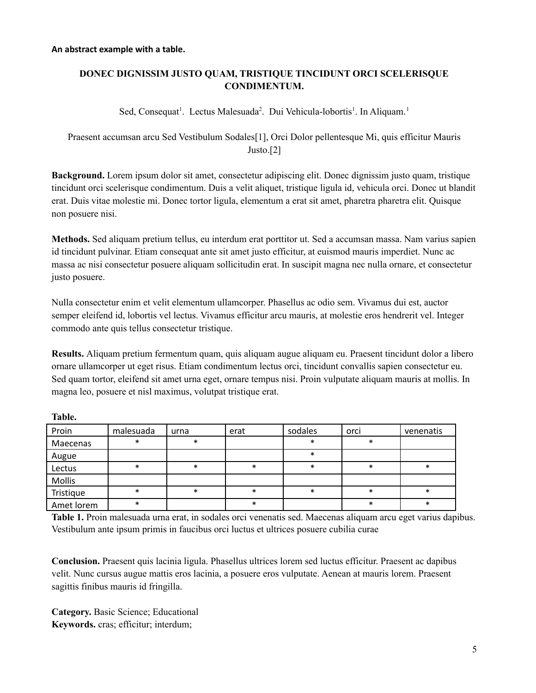### <span id="page-4-0"></span>**DONEC DIGNISSIM JUSTO QUAM, TRISTIQUE TINCIDUNT ORCI SCELERISQUE CONDIMENTUM.**

Sed, Consequat<sup>1</sup>. Lectus Malesuada<sup>2</sup>. Dui Vehicula-lobortis<sup>1</sup>. In Aliquam.<sup>1</sup>

#### Praesent accumsan arcu Sed Vestibulum Sodales[1], Orci Dolor pellentesque Mi, quis efficitur Mauris Justo.[2]

**Background.** Lorem ipsum dolor sit amet, consectetur adipiscing elit. Donec dignissim justo quam, tristique tincidunt orci scelerisque condimentum. Duis a velit aliquet, tristique ligula id, vehicula orci. Donec ut blandit erat. Duis vitae molestie mi. Donec tortor ligula, elementum a erat sit amet, pharetra pharetra elit. Quisque non posuere nisi.

**Methods.** Sed aliquam pretium tellus, eu interdum erat porttitor ut. Sed a accumsan massa. Nam varius sapien id tincidunt pulvinar. Etiam consequat ante sit amet justo efficitur, at euismod mauris imperdiet. Nunc ac massa ac nisi consectetur posuere aliquam sollicitudin erat. In suscipit magna nec nulla ornare, et consectetur justo posuere.

Nulla consectetur enim et velit elementum ullamcorper. Phasellus ac odio sem. Vivamus dui est, auctor semper eleifend id, lobortis vel lectus. Vivamus efficitur arcu mauris, at molestie eros hendrerit vel. Integer commodo ante quis tellus consectetur tristique.

**Results.** Aliquam pretium fermentum quam, quis aliquam augue aliquam eu. Praesent tincidunt dolor a libero ornare ullamcorper ut eget risus. Etiam condimentum lectus orci, tincidunt convallis sapien consectetur eu. Sed quam tortor, eleifend sit amet urna eget, ornare tempus nisi. Proin vulputate aliquam mauris at mollis. In magna leo, posuere et nisl maximus, volutpat tristique erat.

| Proin      | malesuada | urna   | erat   | sodales | orci   | venenatis |
|------------|-----------|--------|--------|---------|--------|-----------|
| Maecenas   | $\ast$    | $\ast$ |        | *       | $\ast$ |           |
| Augue      |           |        |        | $\ast$  |        |           |
| Lectus     | $\ast$    | $\ast$ | $\ast$ | $\ast$  | $\ast$ | $\ast$    |
| Mollis     |           |        |        |         |        |           |
| Tristique  | $\ast$    | $\ast$ | $\ast$ | $\ast$  | $\ast$ | $\ast$    |
| Amet lorem | $\ast$    |        | $\ast$ |         | $\ast$ |           |

**Table.**

**Table 1.** Proin malesuada urna erat, in sodales orci venenatis sed. Maecenas aliquam arcu eget varius dapibus. Vestibulum ante ipsum primis in faucibus orci luctus et ultrices posuere cubilia curae

**Conclusion.** Praesent quis lacinia ligula. Phasellus ultrices lorem sed luctus efficitur. Praesent ac dapibus velit. Nunc cursus augue mattis eros lacinia, a posuere eros vulputate. Aenean at mauris lorem. Praesent sagittis finibus mauris id fringilla.

**Category.** Basic Science; Educational **Keywords.** cras; efficitur; interdum;